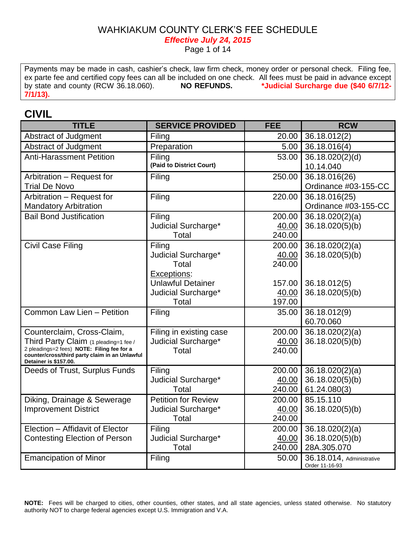*Effective July 24, 2015*

Page 1 of 14

Payments may be made in cash, cashier's check, law firm check, money order or personal check. Filing fee, ex parte fee and certified copy fees can all be included on one check. All fees must be paid in advance except by state and county (RCW 36.18.060). **NO REFUNDS. \*Judicial Surcharge due (\$40 6/7/12- 7/1/13).**

### **CIVIL**

| <b>TITLE</b>                                                                        | <b>SERVICE PROVIDED</b>    | <b>FEE</b> | <b>RCW</b>                                  |
|-------------------------------------------------------------------------------------|----------------------------|------------|---------------------------------------------|
| Abstract of Judgment                                                                | Filing                     | 20.00      | 36.18.012(2)                                |
| Abstract of Judgment                                                                | Preparation                | 5.00       | 36.18.016(4)                                |
| <b>Anti-Harassment Petition</b>                                                     | Filing                     | 53.00      | 36.18.020(2)(d)                             |
|                                                                                     | (Paid to District Court)   |            | 10.14.040                                   |
| Arbitration - Request for                                                           | Filing                     | 250.00     | 36.18.016(26)                               |
| <b>Trial De Novo</b>                                                                |                            |            | Ordinance #03-155-CC                        |
| Arbitration - Request for                                                           | Filing                     | 220.00     | 36.18.016(25)                               |
| <b>Mandatory Arbitration</b>                                                        |                            |            | Ordinance #03-155-CC                        |
| <b>Bail Bond Justification</b>                                                      | Filing                     | 200.00     | 36.18.020(2)(a)                             |
|                                                                                     | Judicial Surcharge*        | 40.00      | 36.18.020(5)(b)                             |
|                                                                                     | Total                      | 240.00     |                                             |
| <b>Civil Case Filing</b>                                                            | Filing                     | 200.00     | 36.18.020(2)(a)                             |
|                                                                                     | Judicial Surcharge*        | 40.00      | 36.18.020(5)(b)                             |
|                                                                                     | Total                      | 240.00     |                                             |
|                                                                                     | Exceptions:                |            |                                             |
|                                                                                     | <b>Unlawful Detainer</b>   | 157.00     | 36.18.012(5)                                |
|                                                                                     | Judicial Surcharge*        | 40.00      | 36.18.020(5)(b)                             |
|                                                                                     | Total                      | 197.00     |                                             |
| Common Law Lien - Petition                                                          | Filing                     | 35.00      | 36.18.012(9)                                |
|                                                                                     |                            |            | 60.70.060                                   |
| Counterclaim, Cross-Claim,                                                          | Filing in existing case    | 200.00     | 36.18.020(2)(a)                             |
| Third Party Claim (1 pleading=1 fee /<br>2 pleadings=2 fees) NOTE: Filing fee for a | Judicial Surcharge*        | 40.00      | 36.18.020(5)(b)                             |
| counter/cross/third party claim in an Unlawful                                      | Total                      | 240.00     |                                             |
| Detainer is \$157.00.                                                               |                            |            |                                             |
| Deeds of Trust, Surplus Funds                                                       | Filing                     | 200.00     | 36.18.020(2)(a)                             |
|                                                                                     | Judicial Surcharge*        | 40.00      | 36.18.020(5)(b)                             |
|                                                                                     | Total                      | 240.00     | 61.24.080(3)                                |
| Diking, Drainage & Sewerage                                                         | <b>Petition for Review</b> | 200.00     | 85.15.110                                   |
| <b>Improvement District</b>                                                         | Judicial Surcharge*        | 40.00      | 36.18.020(5)(b)                             |
|                                                                                     | Total                      | 240.00     |                                             |
| Election - Affidavit of Elector                                                     | Filing                     | 200.00     | 36.18.020(2)(a)                             |
| <b>Contesting Election of Person</b>                                                | Judicial Surcharge*        | 40.00      | 36.18.020(5)(b)                             |
|                                                                                     | Total                      | 240.00     | 28A.305.070                                 |
| <b>Emancipation of Minor</b>                                                        | Filing                     | 50.00      | 36.18.014, Administrative<br>Order 11-16-93 |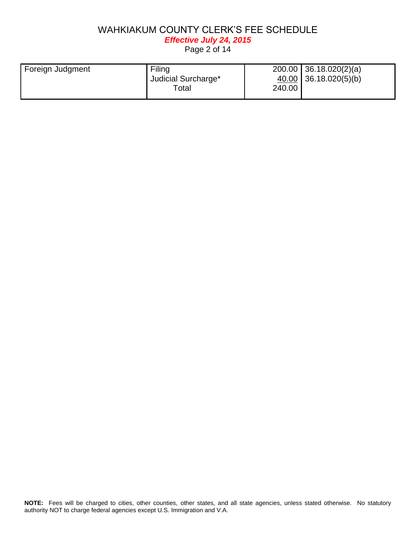*Effective July 24, 2015*

Page 2 of 14

| Foreign Judgment | Filing              |        | $200.00$ 36.18.020(2)(a) |
|------------------|---------------------|--------|--------------------------|
|                  | Judicial Surcharge* |        | 40.00 36.18.020(5)(b)    |
|                  | $\tau$ otal         | 240.00 |                          |
|                  |                     |        |                          |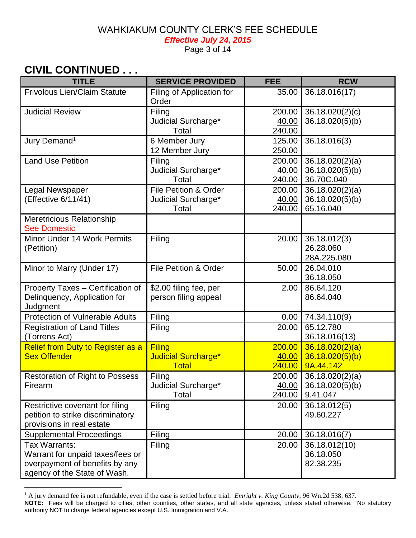*Effective July 24, 2015*

Page 3 of 14

# **CIVIL CONTINUED . . .**

 $\overline{a}$ 

| <b>TITLE</b>                                      | <b>SERVICE PROVIDED</b>                        | <b>FEE</b>       | <b>RCW</b>                         |
|---------------------------------------------------|------------------------------------------------|------------------|------------------------------------|
| <b>Frivolous Lien/Claim Statute</b>               | Filing of Application for<br>Order             | 35.00            | 36.18.016(17)                      |
| <b>Judicial Review</b>                            | Filing                                         | 200.00           | 36.18.020(2)(c)                    |
|                                                   | Judicial Surcharge*                            | 40.00            | 36.18.020(5)(b)                    |
|                                                   | Total                                          | 240.00           |                                    |
| Jury Demand <sup>1</sup>                          | 6 Member Jury                                  | 125.00           | 36.18.016(3)                       |
| <b>Land Use Petition</b>                          | 12 Member Jury<br>Filing                       | 250.00<br>200.00 |                                    |
|                                                   | Judicial Surcharge*                            | 40.00            | 36.18.020(2)(a)<br>36.18.020(5)(b) |
|                                                   | Total                                          | 240.00           | 36.70C.040                         |
| Legal Newspaper                                   | <b>File Petition &amp; Order</b>               | 200.00           | 36.18.020(2)(a)                    |
| (Effective 6/11/41)                               | Judicial Surcharge*                            | 40.00            | 36.18.020(5)(b)                    |
|                                                   | Total                                          | 240.00           | 65.16.040                          |
| Meretricious Relationship<br><b>See Domestic</b>  |                                                |                  |                                    |
| Minor Under 14 Work Permits                       | Filing                                         | 20.00            | 36.18.012(3)                       |
| (Petition)                                        |                                                |                  | 26.28.060                          |
|                                                   |                                                |                  | 28A.225.080                        |
| Minor to Marry (Under 17)                         | <b>File Petition &amp; Order</b>               | 50.00            | 26.04.010                          |
|                                                   |                                                |                  | 36.18.050                          |
| Property Taxes - Certification of                 | \$2.00 filing fee, per<br>person filing appeal | 2.00             | 86.64.120<br>86.64.040             |
| Delinquency, Application for<br>Judgment          |                                                |                  |                                    |
| <b>Protection of Vulnerable Adults</b>            | Filing                                         | 0.00             | 74.34.110(9)                       |
| <b>Registration of Land Titles</b>                | Filing                                         | 20.00            | 65.12.780                          |
| (Torrens Act)                                     |                                                |                  | 36.18.016(13)                      |
| <b>Relief from Duty to Register as a</b>          | <b>Filing</b>                                  | 200.00           | 36.18.020(2)(a)                    |
| <b>Sex Offender</b>                               | <b>Judicial Surcharge*</b>                     | 40.00            | 36.18.020(5)(b)                    |
|                                                   | <b>Total</b>                                   | 240.00           | 9A.44.142                          |
| <b>Restoration of Right to Possess</b><br>Firearm | Filing                                         | 200.00           | 36.18.020(2)(a)<br>36.18.020(5)(b) |
|                                                   | Judicial Surcharge*<br>Total                   | 40.00<br>240.00  | 9.41.047                           |
| Restrictive covenant for filing                   | Filing                                         | 20.00            | 36.18.012(5)                       |
| petition to strike discriminatory                 |                                                |                  | 49.60.227                          |
| provisions in real estate                         |                                                |                  |                                    |
| <b>Supplemental Proceedings</b>                   | Filing                                         | 20.00            | 36.18.016(7)                       |
| Tax Warrants:                                     | Filing                                         | 20.00            | 36.18.012(10)                      |
| Warrant for unpaid taxes/fees or                  |                                                |                  | 36.18.050                          |
| overpayment of benefits by any                    |                                                |                  | 82.38.235                          |
| agency of the State of Wash.                      |                                                |                  |                                    |

<sup>&</sup>lt;sup>1</sup> A jury demand fee is not refundable, even if the case is settled before trial. *Emright v. King County*, 96 Wn.2d 538, 637.

**NOTE:** Fees will be charged to cities, other counties, other states, and all state agencies, unless stated otherwise. No statutory authority NOT to charge federal agencies except U.S. Immigration and V.A.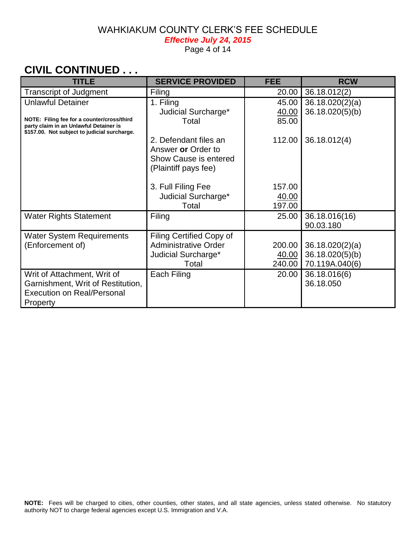*Effective July 24, 2015*

Page 4 of 14

# **CIVIL CONTINUED . . .**

| <b>TITLE</b>                                                                                                                         | <b>SERVICE PROVIDED</b>                                                                      | <b>FEE</b> | <b>RCW</b>                 |
|--------------------------------------------------------------------------------------------------------------------------------------|----------------------------------------------------------------------------------------------|------------|----------------------------|
| <b>Transcript of Judgment</b>                                                                                                        | Filing                                                                                       | 20.00      | 36.18.012(2)               |
| <b>Unlawful Detainer</b>                                                                                                             | 1. Filing                                                                                    | 45.00      | 36.18.020(2)(a)            |
|                                                                                                                                      | Judicial Surcharge*                                                                          | 40.00      | 36.18.020(5)(b)            |
| NOTE: Filing fee for a counter/cross/third<br>party claim in an Unlawful Detainer is<br>\$157.00. Not subject to judicial surcharge. | Total                                                                                        | 85.00      |                            |
|                                                                                                                                      | 2. Defendant files an<br>Answer or Order to<br>Show Cause is entered<br>(Plaintiff pays fee) | 112.00     | 36.18.012(4)               |
|                                                                                                                                      | 3. Full Filing Fee                                                                           | 157.00     |                            |
|                                                                                                                                      | Judicial Surcharge*                                                                          | 40.00      |                            |
|                                                                                                                                      | Total                                                                                        | 197.00     |                            |
| <b>Water Rights Statement</b>                                                                                                        | Filing                                                                                       | 25.00      | 36.18.016(16)<br>90.03.180 |
| <b>Water System Requirements</b>                                                                                                     | Filing Certified Copy of                                                                     |            |                            |
| (Enforcement of)                                                                                                                     | <b>Administrative Order</b>                                                                  | 200.00     | 36.18.020(2)(a)            |
|                                                                                                                                      | Judicial Surcharge*                                                                          | 40.00      | 36.18.020(5)(b)            |
|                                                                                                                                      | Total                                                                                        | 240.00     | 70.119A.040(6)             |
| Writ of Attachment, Writ of                                                                                                          | Each Filing                                                                                  | 20.00      | 36.18.016(6)               |
| Garnishment, Writ of Restitution,                                                                                                    |                                                                                              |            | 36.18.050                  |
| <b>Execution on Real/Personal</b>                                                                                                    |                                                                                              |            |                            |
| Property                                                                                                                             |                                                                                              |            |                            |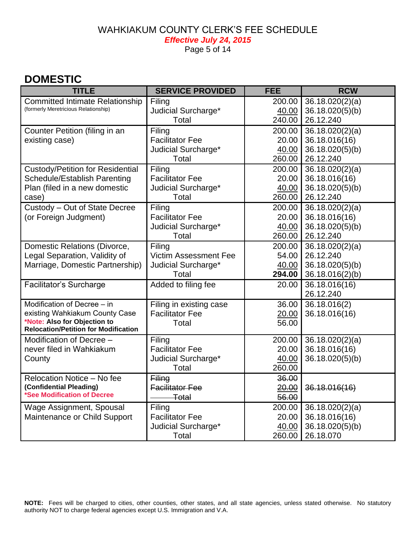#### WAHKIAKUM COUNTY CLERK'S FEE SCHEDULE *Effective July 24, 2015*

Page 5 of 14

# **DOMESTIC**

| <b>TITLE</b>                                                                | <b>SERVICE PROVIDED</b>      | <b>FEE</b>   | <b>RCW</b>      |
|-----------------------------------------------------------------------------|------------------------------|--------------|-----------------|
| <b>Committed Intimate Relationship</b>                                      | Filing                       | 200.00       | 36.18.020(2)(a) |
| (formerly Meretricious Relationship)                                        | Judicial Surcharge*          | 40.00        | 36.18.020(5)(b) |
|                                                                             | Total                        | 240.00       | 26.12.240       |
| Counter Petition (filing in an                                              | Filing                       | 200.00       | 36.18.020(2)(a) |
| existing case)                                                              | <b>Facilitator Fee</b>       | 20.00        | 36.18.016(16)   |
|                                                                             | Judicial Surcharge*          | 40.00        | 36.18.020(5)(b) |
|                                                                             | Total                        | 260.00       | 26.12.240       |
| <b>Custody/Petition for Residential</b>                                     | Filing                       | 200.00       | 36.18.020(2)(a) |
| Schedule/Establish Parenting                                                | <b>Facilitator Fee</b>       | 20.00        | 36.18.016(16)   |
| Plan (filed in a new domestic                                               | Judicial Surcharge*          | 40.00        | 36.18.020(5)(b) |
| case)                                                                       | Total                        | 260.00       | 26.12.240       |
| Custody - Out of State Decree                                               | Filing                       | 200.00       | 36.18.020(2)(a) |
| (or Foreign Judgment)                                                       | <b>Facilitator Fee</b>       | 20.00        | 36.18.016(16)   |
|                                                                             | Judicial Surcharge*          | 40.00        | 36.18.020(5)(b) |
|                                                                             | Total                        | 260.00       | 26.12.240       |
| Domestic Relations (Divorce,                                                | Filing                       | 200.00       | 36.18.020(2)(a) |
| Legal Separation, Validity of                                               | <b>Victim Assessment Fee</b> | 54.00        | 26.12.240       |
| Marriage, Domestic Partnership)                                             | Judicial Surcharge*          | 40.00        | 36.18.020(5)(b) |
|                                                                             | Total                        | 294.00       | 36.18.016(2)(b) |
| <b>Facilitator's Surcharge</b>                                              | Added to filing fee          | 20.00        | 36.18.016(16)   |
|                                                                             |                              |              | 26.12.240       |
| Modification of Decree - in                                                 | Filing in existing case      | 36.00        | 36.18.016(2)    |
| existing Wahkiakum County Case                                              | <b>Facilitator Fee</b>       | <u>20.00</u> | 36.18.016(16)   |
| *Note: Also for Objection to<br><b>Relocation/Petition for Modification</b> | Total                        | 56.00        |                 |
| Modification of Decree -                                                    | Filing                       | 200.00       | 36.18.020(2)(a) |
| never filed in Wahkiakum                                                    | <b>Facilitator Fee</b>       | 20.00        | 36.18.016(16)   |
| County                                                                      | Judicial Surcharge*          | 40.00        | 36.18.020(5)(b) |
|                                                                             | Total                        | 260.00       |                 |
| Relocation Notice - No fee                                                  | Filing                       | 36.00        |                 |
| (Confidential Pleading)                                                     | <b>Facilitator Fee</b>       | 20.00        | 36.18.016(16)   |
| *See Modification of Decree                                                 | <del>Total</del>             | 56.00        |                 |
| <b>Wage Assignment, Spousal</b>                                             | Filing                       | 200.00       | 36.18.020(2)(a) |
| Maintenance or Child Support                                                | <b>Facilitator Fee</b>       | 20.00        | 36.18.016(16)   |
|                                                                             | Judicial Surcharge*          | 40.00        | 36.18.020(5)(b) |
|                                                                             | Total                        | 260.00       | 26.18.070       |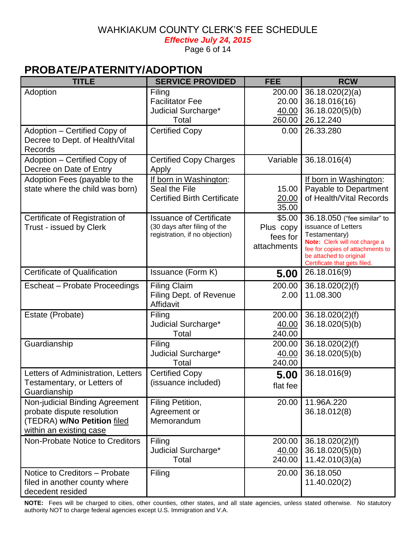*Effective July 24, 2015* 

Page 6 of 14

# **PROBATE/PATERNITY/ADOPTION**

| <b>TITLE</b>                                                                                                           | <b>SERVICE PROVIDED</b>                                                                          | <b>FEE</b>                                     | <b>RCW</b>                                                                                                                                                                                          |
|------------------------------------------------------------------------------------------------------------------------|--------------------------------------------------------------------------------------------------|------------------------------------------------|-----------------------------------------------------------------------------------------------------------------------------------------------------------------------------------------------------|
| Adoption                                                                                                               | Filing<br><b>Facilitator Fee</b><br>Judicial Surcharge*<br>Total                                 | 200.00<br>20.00<br>40.00<br>260.00             | 36.18.020(2)(a)<br>36.18.016(16)<br>36.18.020(5)(b)<br>26.12.240                                                                                                                                    |
| Adoption - Certified Copy of<br>Decree to Dept. of Health/Vital<br>Records                                             | <b>Certified Copy</b>                                                                            | 0.00                                           | 26.33.280                                                                                                                                                                                           |
| Adoption - Certified Copy of<br>Decree on Date of Entry                                                                | <b>Certified Copy Charges</b><br>Apply                                                           | Variable                                       | 36.18.016(4)                                                                                                                                                                                        |
| Adoption Fees (payable to the<br>state where the child was born)                                                       | If born in Washington:<br>Seal the File<br><b>Certified Birth Certificate</b>                    | 15.00<br><u>20.00</u><br>35.00                 | If born in Washington:<br>Payable to Department<br>of Health/Vital Records                                                                                                                          |
| Certificate of Registration of<br>Trust - issued by Clerk                                                              | <b>Issuance of Certificate</b><br>(30 days after filing of the<br>registration, if no objection) | \$5.00<br>Plus copy<br>fees for<br>attachments | 36.18.050 ("fee similar" to<br>issuance of Letters<br>Testamentary)<br>Note: Clerk will not charge a<br>fee for copies of attachments to<br>be attached to original<br>Certificate that gets filed. |
| <b>Certificate of Qualification</b>                                                                                    | Issuance (Form K)                                                                                | 5.00                                           | 26.18.016(9)                                                                                                                                                                                        |
| Escheat - Probate Proceedings                                                                                          | <b>Filing Claim</b><br>Filing Dept. of Revenue<br>Affidavit                                      | 200.00<br>2.00                                 | 36.18.020(2)(f)<br>11.08.300                                                                                                                                                                        |
| Estate (Probate)                                                                                                       | Filing<br>Judicial Surcharge*<br>Total                                                           | 200.00<br>40.00<br>240.00                      | 36.18.020(2)(f)<br>36.18.020(5)(b)                                                                                                                                                                  |
| Guardianship                                                                                                           | Filing<br>Judicial Surcharge*<br>Total                                                           | 200.00<br>40.00<br>240.00                      | 36.18.020(2)(f)<br>36.18.020(5)(b)                                                                                                                                                                  |
| Letters of Administration, Letters<br>Testamentary, or Letters of<br>Guardianship                                      | <b>Certified Copy</b><br>(issuance included)                                                     | 5.00<br>flat fee                               | 36.18.016(9)                                                                                                                                                                                        |
| Non-judicial Binding Agreement<br>probate dispute resolution<br>(TEDRA) w/No Petition filed<br>within an existing case | Filing Petition,<br>Agreement or<br>Memorandum                                                   | 20.00                                          | 11.96A.220<br>36.18.012(8)                                                                                                                                                                          |
| Non-Probate Notice to Creditors                                                                                        | Filing<br>Judicial Surcharge*<br>Total                                                           | 200.00<br>40.00<br>240.00                      | 36.18.020(2)(f)<br>36.18.020(5)(b)<br>11.42.010(3)(a)                                                                                                                                               |
| Notice to Creditors - Probate<br>filed in another county where<br>decedent resided                                     | Filing                                                                                           | 20.00                                          | 36.18.050<br>11.40.020(2)                                                                                                                                                                           |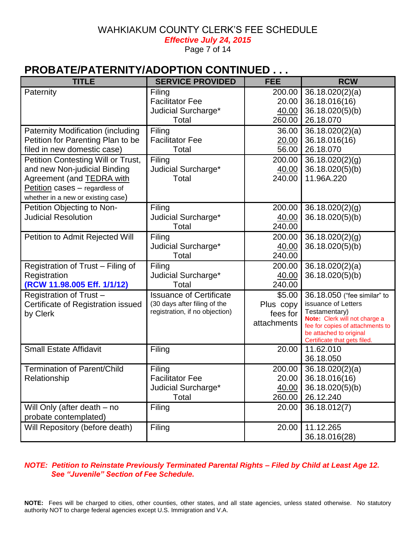*Effective July 24, 2015* 

Page 7 of 14

## **PROBATE/PATERNITY/ADOPTION CONTINUED . . .**

| <b>TITLE</b>                                                         | <b>SERVICE PROVIDED</b>        | <b>FEE</b>  | <b>RCW</b>                                              |
|----------------------------------------------------------------------|--------------------------------|-------------|---------------------------------------------------------|
| Paternity                                                            | Filing                         | 200.00      | 36.18.020(2)(a)                                         |
|                                                                      | <b>Facilitator Fee</b>         | 20.00       | 36.18.016(16)                                           |
|                                                                      | Judicial Surcharge*            | 40.00       | 36.18.020(5)(b)                                         |
|                                                                      | Total                          | 260.00      | 26.18.070                                               |
| <b>Paternity Modification (including</b>                             | Filing                         | 36.00       | 36.18.020(2)(a)                                         |
| Petition for Parenting Plan to be                                    | <b>Facilitator Fee</b>         | 20.00       | 36.18.016(16)                                           |
| filed in new domestic case)                                          | Total                          | 56.00       | 26.18.070                                               |
| Petition Contesting Will or Trust,                                   | Filing                         | 200.00      | 36.18.020(2)(g)                                         |
| and new Non-judicial Binding                                         | Judicial Surcharge*            | 40.00       | 36.18.020(5)(b)                                         |
| Agreement (and <b>TEDRA</b> with                                     | Total                          | 240.00      | 11.96A.220                                              |
| Petition cases - regardless of<br>whether in a new or existing case) |                                |             |                                                         |
| Petition Objecting to Non-                                           | Filing                         | 200.00      | 36.18.020(2)(g)                                         |
| <b>Judicial Resolution</b>                                           | Judicial Surcharge*            | 40.00       | 36.18.020(5)(b)                                         |
|                                                                      | Total                          | 240.00      |                                                         |
| Petition to Admit Rejected Will                                      | Filing                         | 200.00      | 36.18.020(2)(g)                                         |
|                                                                      | Judicial Surcharge*            | 40.00       | 36.18.020(5)(b)                                         |
|                                                                      | Total                          | 240.00      |                                                         |
| Registration of Trust - Filing of                                    | Filing                         | 200.00      | 36.18.020(2)(a)                                         |
| Registration                                                         | Judicial Surcharge*            | 40.00       | 36.18.020(5)(b)                                         |
| (RCW 11.98.005 Eff. 1/1/12)                                          | Total                          | 240.00      |                                                         |
| Registration of Trust-                                               | <b>Issuance of Certificate</b> | \$5.00      | 36.18.050 ("fee similar" to                             |
| Certificate of Registration issued                                   | (30 days after filing of the   | Plus copy   | issuance of Letters                                     |
| by Clerk                                                             | registration, if no objection) | fees for    | Testamentary)<br>Note: Clerk will not charge a          |
|                                                                      |                                | attachments | fee for copies of attachments to                        |
|                                                                      |                                |             | be attached to original<br>Certificate that gets filed. |
| <b>Small Estate Affidavit</b>                                        | Filing                         | 20.00       | 11.62.010                                               |
|                                                                      |                                |             | 36.18.050                                               |
| <b>Termination of Parent/Child</b>                                   | Filing                         | 200.00      | 36.18.020(2)(a)                                         |
| Relationship                                                         | <b>Facilitator Fee</b>         | 20.00       | 36.18.016(16)                                           |
|                                                                      | Judicial Surcharge*            | 40.00       | 36.18.020(5)(b)                                         |
|                                                                      | Total                          | 260.00      | 26.12.240                                               |
| Will Only (after death – no                                          | Filing                         | 20.00       | 36.18.012(7)                                            |
| probate contemplated)                                                |                                |             |                                                         |
| Will Repository (before death)                                       | Filing                         | 20.00       | 11.12.265                                               |
|                                                                      |                                |             | 36.18.016(28)                                           |

#### *NOTE: Petition to Reinstate Previously Terminated Parental Rights – Filed by Child at Least Age 12. See "Juvenile" Section of Fee Schedule.*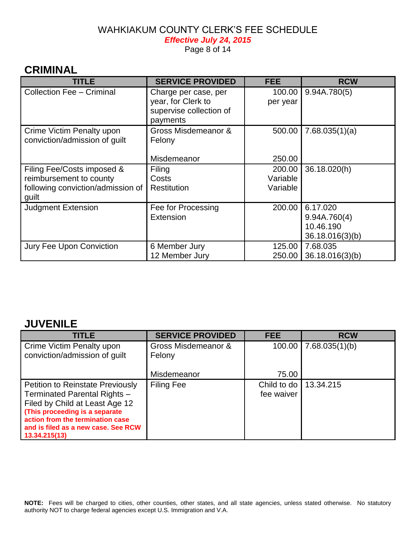*Effective July 24, 2015* 

Page 8 of 14

## **CRIMINAL**

| <b>TITLE</b>                                                                                        | <b>SERVICE PROVIDED</b>                                                           | <b>FEE</b>                     | <b>RCW</b>                                               |
|-----------------------------------------------------------------------------------------------------|-----------------------------------------------------------------------------------|--------------------------------|----------------------------------------------------------|
| <b>Collection Fee - Criminal</b>                                                                    | Charge per case, per<br>year, for Clerk to<br>supervise collection of<br>payments | 100.00<br>per year             | 9.94A.780(5)                                             |
| Crime Victim Penalty upon<br>conviction/admission of guilt                                          | Gross Misdemeanor &<br>Felony<br>Misdemeanor                                      | 500.00<br>250.00               | 7.68.035(1)(a)                                           |
| Filing Fee/Costs imposed &<br>reimbursement to county<br>following conviction/admission of<br>guilt | Filing<br>Costs<br><b>Restitution</b>                                             | 200.00<br>Variable<br>Variable | 36.18.020(h)                                             |
| <b>Judgment Extension</b>                                                                           | Fee for Processing<br>Extension                                                   | 200.00                         | 6.17.020<br>9.94A.760(4)<br>10.46.190<br>36.18.016(3)(b) |
| Jury Fee Upon Conviction                                                                            | 6 Member Jury<br>12 Member Jury                                                   | 125.00<br>250.00               | 7.68.035<br>36.18.016(3)(b)                              |

#### **JUVENILE**

| <b>TITLE</b>                                                                                                                                                                                                                            | <b>SERVICE PROVIDED</b>       | <b>FEE</b>                | <b>RCW</b>                |
|-----------------------------------------------------------------------------------------------------------------------------------------------------------------------------------------------------------------------------------------|-------------------------------|---------------------------|---------------------------|
| Crime Victim Penalty upon<br>conviction/admission of guilt                                                                                                                                                                              | Gross Misdemeanor &<br>Felony |                           | $100.00$   7.68.035(1)(b) |
|                                                                                                                                                                                                                                         | Misdemeanor                   | 75.00                     |                           |
| <b>Petition to Reinstate Previously</b><br>Terminated Parental Rights -<br>Filed by Child at Least Age 12<br>(This proceeding is a separate<br>action from the termination case<br>and is filed as a new case. See RCW<br>13.34.215(13) | <b>Filing Fee</b>             | Child to do<br>fee waiver | 13.34.215                 |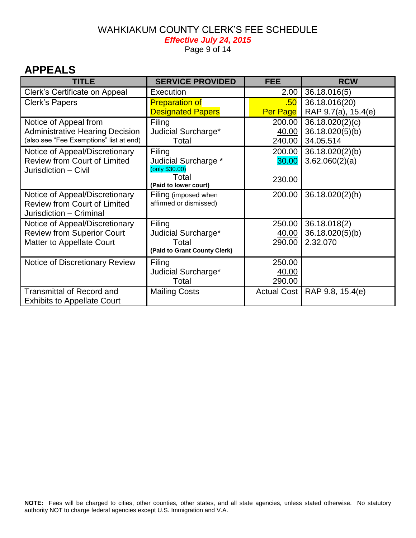#### WAHKIAKUM COUNTY CLERK'S FEE SCHEDULE *Effective July 24, 2015*

Page 9 of 14

## **APPEALS**

| <b>TITLE</b>                            | <b>SERVICE PROVIDED</b>        | <b>FEE</b>         | <b>RCW</b>          |
|-----------------------------------------|--------------------------------|--------------------|---------------------|
| Clerk's Certificate on Appeal           | Execution                      | 2.00               | 36.18.016(5)        |
| Clerk's Papers                          | <b>Preparation of</b>          | .50                | 36.18.016(20)       |
|                                         | <b>Designated Papers</b>       | Per Page           | RAP 9.7(a), 15.4(e) |
| Notice of Appeal from                   | Filing                         | 200.00             | 36.18.020(2)(c)     |
| <b>Administrative Hearing Decision</b>  | Judicial Surcharge*            | 40.00              | 36.18.020(5)(b)     |
| (also see "Fee Exemptions" list at end) | Total                          | 240.00             | 34.05.514           |
| Notice of Appeal/Discretionary          | Filing                         | 200.00             | 36.18.020(2)(b)     |
| <b>Review from Court of Limited</b>     | Judicial Surcharge *           | 30.00              | 3.62.060(2)(a)      |
| Jurisdiction - Civil                    | (only \$30.00)                 |                    |                     |
|                                         | Total<br>(Paid to lower court) | 230.00             |                     |
| Notice of Appeal/Discretionary          | Filing (imposed when           | 200.00             | 36.18.020(2)(h)     |
| <b>Review from Court of Limited</b>     | affirmed or dismissed)         |                    |                     |
| Jurisdiction - Criminal                 |                                |                    |                     |
| Notice of Appeal/Discretionary          | Filing                         | 250.00             | 36.18.018(2)        |
| <b>Review from Superior Court</b>       | Judicial Surcharge*            | 40.00              | 36.18.020(5)(b)     |
| <b>Matter to Appellate Court</b>        | Total                          | 290.00             | 2.32.070            |
|                                         | (Paid to Grant County Clerk)   |                    |                     |
| Notice of Discretionary Review          | Filing                         | 250.00             |                     |
|                                         | Judicial Surcharge*            | 40.00              |                     |
|                                         | Total                          | 290.00             |                     |
| <b>Transmittal of Record and</b>        | <b>Mailing Costs</b>           | <b>Actual Cost</b> | RAP 9.8, 15.4(e)    |
| <b>Exhibits to Appellate Court</b>      |                                |                    |                     |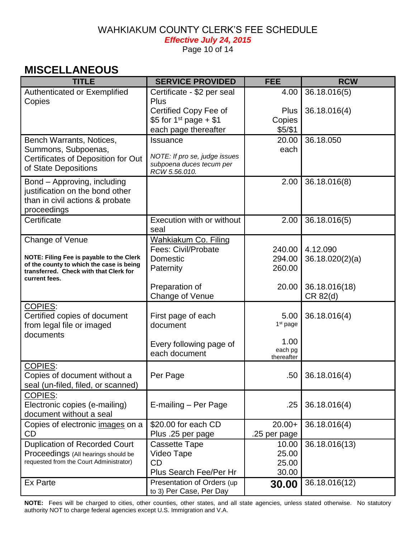*Effective July 24, 2015* 

Page 10 of 14

## **MISCELLANEOUS**

| <b>TITLE</b>                                                                         | <b>SERVICE PROVIDED</b>                                   | <b>FEE</b>           | <b>RCW</b>      |
|--------------------------------------------------------------------------------------|-----------------------------------------------------------|----------------------|-----------------|
| Authenticated or Exemplified                                                         | Certificate - \$2 per seal                                | 4.00                 | 36.18.016(5)    |
| Copies                                                                               | Plus<br>Certified Copy Fee of                             | <b>Plus</b>          | 36.18.016(4)    |
|                                                                                      | \$5 for 1 <sup>st</sup> page + \$1                        | Copies               |                 |
|                                                                                      | each page thereafter                                      | \$5/\$1              |                 |
| Bench Warrants, Notices,                                                             | Issuance                                                  | 20.00                | 36.18.050       |
| Summons, Subpoenas,                                                                  |                                                           | each                 |                 |
| Certificates of Deposition for Out                                                   | NOTE: If pro se, judge issues<br>subpoena duces tecum per |                      |                 |
| of State Depositions                                                                 | RCW 5.56.010.                                             |                      |                 |
| Bond - Approving, including                                                          |                                                           | 2.00                 | 36.18.016(8)    |
| justification on the bond other                                                      |                                                           |                      |                 |
| than in civil actions & probate<br>proceedings                                       |                                                           |                      |                 |
| Certificate                                                                          | Execution with or without                                 | 2.00                 | 36.18.016(5)    |
|                                                                                      | seal                                                      |                      |                 |
| Change of Venue                                                                      | <b>Wahkiakum Co. Filing</b>                               |                      |                 |
|                                                                                      | Fees: Civil/Probate                                       | 240.00               | 4.12.090        |
| NOTE: Filing Fee is payable to the Clerk<br>of the county to which the case is being | Domestic                                                  | 294.00               | 36.18.020(2)(a) |
| transferred. Check with that Clerk for                                               | Paternity                                                 | 260.00               |                 |
| current fees.                                                                        | Preparation of                                            | 20.00                | 36.18.016(18)   |
|                                                                                      | Change of Venue                                           |                      | CR 82(d)        |
| <b>COPIES:</b>                                                                       |                                                           |                      |                 |
| Certified copies of document                                                         | First page of each                                        | 5.00                 | 36.18.016(4)    |
| from legal file or imaged                                                            | document                                                  | 1 <sup>st</sup> page |                 |
| documents                                                                            |                                                           | 1.00                 |                 |
|                                                                                      | Every following page of<br>each document                  | each pg              |                 |
|                                                                                      |                                                           | thereafter           |                 |
| <b>COPIES:</b><br>Copies of document without a                                       | Per Page                                                  | .50 <sub>1</sub>     | 36.18.016(4)    |
| seal (un-filed, filed, or scanned)                                                   |                                                           |                      |                 |
| <b>COPIES:</b>                                                                       |                                                           |                      |                 |
| Electronic copies (e-mailing)                                                        | E-mailing - Per Page                                      | .25                  | 36.18.016(4)    |
| document without a seal                                                              |                                                           |                      |                 |
| Copies of electronic images on a                                                     | \$20.00 for each CD                                       | $20.00+$             | 36.18.016(4)    |
| CD                                                                                   | Plus .25 per page                                         | .25 per page         |                 |
| <b>Duplication of Recorded Court</b>                                                 | <b>Cassette Tape</b>                                      | 10.00                | 36.18.016(13)   |
| Proceedings (All hearings should be<br>requested from the Court Administrator)       | Video Tape<br><b>CD</b>                                   | 25.00<br>25.00       |                 |
|                                                                                      | Plus Search Fee/Per Hr                                    | 30.00                |                 |
| Ex Parte                                                                             | Presentation of Orders (up                                | 30.00                | 36.18.016(12)   |
|                                                                                      | to 3) Per Case, Per Day                                   |                      |                 |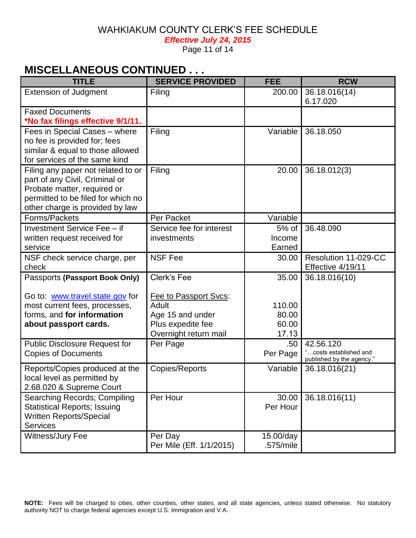*Effective July 24, 2015* 

Page 11 of 14

## **MISCELLANEOUS CONTINUED . . .**

| <b>TITLE</b>                                                                                                                                                                 | <b>SERVICE PROVIDED</b>                                                                                         | <b>FEE</b>                                 | <b>RCW</b>                                                      |
|------------------------------------------------------------------------------------------------------------------------------------------------------------------------------|-----------------------------------------------------------------------------------------------------------------|--------------------------------------------|-----------------------------------------------------------------|
| <b>Extension of Judgment</b>                                                                                                                                                 | Filing                                                                                                          | 200.00                                     | 36.18.016(14)<br>6.17.020                                       |
| <b>Faxed Documents</b><br>*No fax filings effective 9/1/11.                                                                                                                  |                                                                                                                 |                                            |                                                                 |
| Fees in Special Cases - where<br>no fee is provided for; fees<br>similar & equal to those allowed<br>for services of the same kind                                           | Filing                                                                                                          | Variable                                   | 36.18.050                                                       |
| Filing any paper not related to or<br>part of any Civil, Criminal or<br>Probate matter, required or<br>permitted to be filed for which no<br>other charge is provided by law | Filing                                                                                                          | 20.00                                      | 36.18.012(3)                                                    |
| Forms/Packets                                                                                                                                                                | Per Packet                                                                                                      | Variable                                   |                                                                 |
| Investment Service Fee - if<br>written request received for<br>service                                                                                                       | Service fee for interest<br>investments                                                                         | 5% of<br>Income<br>Earned                  | 36.48.090                                                       |
| NSF check service charge, per<br>check                                                                                                                                       | <b>NSF Fee</b>                                                                                                  | 30.00                                      | Resolution 11-029-CC<br>Effective 4/19/11                       |
| Passports (Passport Book Only)<br>Go to: www.travel.state.gov for<br>most current fees, processes,<br>forms, and for information<br>about passport cards.                    | Clerk's Fee<br>Fee to Passport Svcs:<br>Adult<br>Age 15 and under<br>Plus expedite fee<br>Overnight return mail | 35.00<br>110.00<br>80.00<br>60.00<br>17.13 | 36.18.016(10)                                                   |
| <b>Public Disclosure Request for</b><br><b>Copies of Documents</b>                                                                                                           | Per Page                                                                                                        | .50<br>Per Page                            | 42.56.120<br>costs established and<br>published by the agency." |
| Reports/Copies produced at the<br>local level as permitted by<br>2.68.020 & Supreme Court                                                                                    | Copies/Reports                                                                                                  | Variable                                   | 36.18.016(21)                                                   |
| Searching Records; Compiling<br><b>Statistical Reports; Issuing</b><br><b>Written Reports/Special</b><br><b>Services</b>                                                     | Per Hour                                                                                                        | 30.00<br>Per Hour                          | 36.18.016(11)                                                   |
| Witness/Jury Fee                                                                                                                                                             | Per Day<br>Per Mile (Eff. 1/1/2015)                                                                             | 15.00/day<br>.575/mile                     |                                                                 |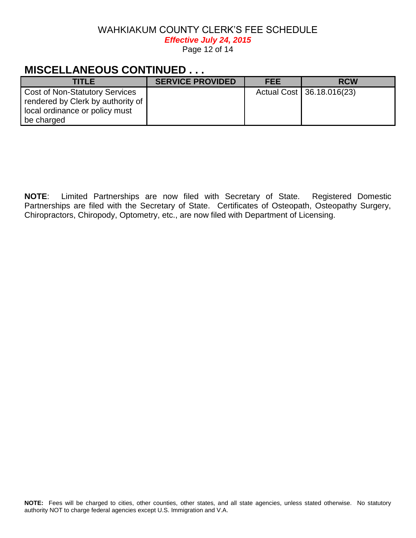*Effective July 24, 2015*

Page 12 of 14

# **MISCELLANEOUS CONTINUED . . .**

| <b>TITLE</b>                                                          | <b>SERVICE PROVIDED</b> | <b>FEE</b> | <b>RCW</b>                  |
|-----------------------------------------------------------------------|-------------------------|------------|-----------------------------|
| <b>Cost of Non-Statutory Services</b>                                 |                         |            | Actual Cost   36.18.016(23) |
| rendered by Clerk by authority of  <br>local ordinance or policy must |                         |            |                             |
| be charged                                                            |                         |            |                             |

**NOTE**: Limited Partnerships are now filed with Secretary of State. Registered Domestic Partnerships are filed with the Secretary of State. Certificates of Osteopath, Osteopathy Surgery, Chiropractors, Chiropody, Optometry, etc., are now filed with Department of Licensing.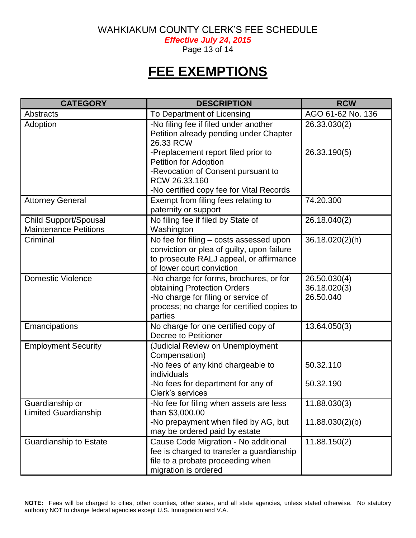*Effective July 24, 2015*

Page 13 of 14

# **FEE EXEMPTIONS**

| <b>CATEGORY</b>                                              | <b>DESCRIPTION</b>                                                                                                                                                     | <b>RCW</b>                                |
|--------------------------------------------------------------|------------------------------------------------------------------------------------------------------------------------------------------------------------------------|-------------------------------------------|
| <b>Abstracts</b>                                             | To Department of Licensing                                                                                                                                             | AGO 61-62 No. 136                         |
| Adoption                                                     | -No filing fee if filed under another<br>Petition already pending under Chapter<br>26.33 RCW                                                                           | 26.33.030(2)                              |
|                                                              | -Preplacement report filed prior to<br><b>Petition for Adoption</b><br>-Revocation of Consent pursuant to<br>RCW 26.33.160                                             | 26.33.190(5)                              |
|                                                              | -No certified copy fee for Vital Records                                                                                                                               |                                           |
| <b>Attorney General</b>                                      | Exempt from filing fees relating to<br>paternity or support                                                                                                            | 74.20.300                                 |
| <b>Child Support/Spousal</b><br><b>Maintenance Petitions</b> | No filing fee if filed by State of<br>Washington                                                                                                                       | 26.18.040(2)                              |
| Criminal                                                     | No fee for filing - costs assessed upon<br>conviction or plea of guilty, upon failure<br>to prosecute RALJ appeal, or affirmance<br>of lower court conviction          | 36.18.020(2)(h)                           |
| <b>Domestic Violence</b>                                     | -No charge for forms, brochures, or for<br>obtaining Protection Orders<br>-No charge for filing or service of<br>process; no charge for certified copies to<br>parties | 26.50.030(4)<br>36.18.020(3)<br>26.50.040 |
| Emancipations                                                | No charge for one certified copy of<br><b>Decree to Petitioner</b>                                                                                                     | 13.64.050(3)                              |
| <b>Employment Security</b>                                   | (Judicial Review on Unemployment<br>Compensation)                                                                                                                      |                                           |
|                                                              | -No fees of any kind chargeable to<br>individuals                                                                                                                      | 50.32.110                                 |
|                                                              | -No fees for department for any of<br>Clerk's services                                                                                                                 | 50.32.190                                 |
| Guardianship or<br><b>Limited Guardianship</b>               | -No fee for filing when assets are less<br>than \$3,000.00                                                                                                             | 11.88.030(3)                              |
|                                                              | -No prepayment when filed by AG, but<br>may be ordered paid by estate                                                                                                  | 11.88.030(2)(b)                           |
| <b>Guardianship to Estate</b>                                | Cause Code Migration - No additional<br>fee is charged to transfer a guardianship<br>file to a probate proceeding when<br>migration is ordered                         | 11.88.150(2)                              |